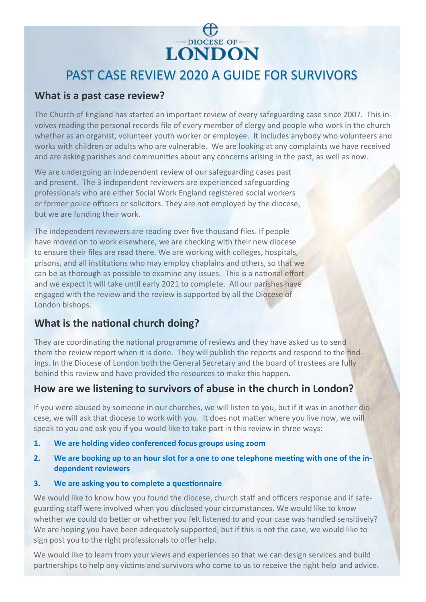

# PAST CASE REVIEW 2020 A GUIDE FOR SURVIVORS

#### **What is a past case review?**

The Church of England has started an important review of every safeguarding case since 2007. This involves reading the personal records file of every member of clergy and people who work in the church whether as an organist, volunteer youth worker or employee. It includes anybody who volunteers and works with children or adults who are vulnerable. We are looking at any complaints we have received and are asking parishes and communities about any concerns arising in the past, as well as now.

We are undergoing an independent review of our safeguarding cases past and present. The 3 independent reviewers are experienced safeguarding professionals who are either Social Work England registered social workers or former police officers or solicitors. They are not employed by the diocese, but we are funding their work.

The independent reviewers are reading over five thousand files. If people have moved on to work elsewhere, we are checking with their new diocese to ensure their files are read there. We are working with colleges, hospitals, prisons, and all institutions who may employ chaplains and others, so that we can be as thorough as possible to examine any issues. This is a national effort and we expect it will take until early 2021 to complete. All our parishes have engaged with the review and the review is supported by all the Diocese of London bishops.

# **What is the national church doing?**

They are coordinating the national programme of reviews and they have asked us to send them the review report when it is done. They will publish the reports and respond to the findings. In the Diocese of London both the General Secretary and the board of trustees are fully behind this review and have provided the resources to make this happen.

# **How are we listening to survivors of abuse in the church in London?**

If you were abused by someone in our churches, we will listen to you, but if it was in another diocese, we will ask that diocese to work with you. It does not matter where you live now, we will speak to you and ask you if you would like to take part in this review in three ways:

- **1. We are holding video conferenced focus groups using zoom**
- **2. We are booking up to an hour slot for a one to one telephone meeting with one of the independent reviewers**

#### **3. We are asking you to complete a questionnaire**

We would like to know how you found the diocese, church staff and officers response and if safeguarding staff were involved when you disclosed your circumstances. We would like to know whether we could do better or whether you felt listened to and your case was handled sensitively? We are hoping you have been adequately supported, but if this is not the case, we would like to sign post you to the right professionals to offer help.

We would like to learn from your views and experiences so that we can design services and build partnerships to help any victims and survivors who come to us to receive the right help and advice.